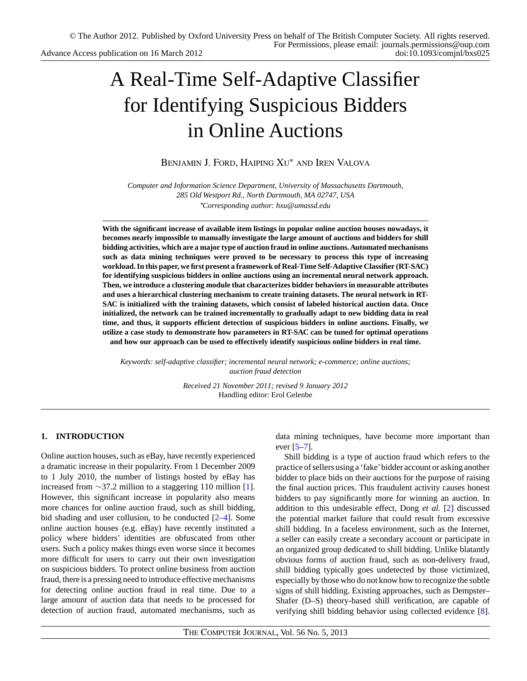# A Real-Time Self-Adaptive Classifier for Identifying Suspicious Bidders in Online Auctions

Benjamin J. Ford, Haiping Xu∗ and Iren Valova

*Computer and Information Science Department, University of Massachusetts Dartmouth, 285 Old Westport Rd., North Dartmouth, MA 02747, USA* ∗ *Corresponding author: hxu@umassd.edu*

**With the significant increase of available item listings in popular online auction houses nowadays, it becomes nearly impossible to manually investigate the large amount of auctions and bidders for shill bidding activities, which are a major type of auction fraud in online auctions. Automated mechanisms such as data mining techniques were proved to be necessary to process this type of increasing workload. In this paper, we first present a framework of Real-Time Self-Adaptive Classifier (RT-SAC) for identifying suspicious bidders in online auctions using an incremental neural network approach. Then, we introduce a clustering module that characterizes bidder behaviors in measurable attributes and uses a hierarchical clustering mechanism to create training datasets. The neural network in RT-SAC is initialized with the training datasets, which consist of labeled historical auction data. Once initialized, the network can be trained incrementally to gradually adapt to new bidding data in real time, and thus, it supports efficient detection of suspicious bidders in online auctions. Finally, we utilize a case study to demonstrate how parameters in RT-SAC can be tuned for optimal operations and how our approach can be used to effectively identify suspicious online bidders in real time.**

*Keywords: self-adaptive classifier; incremental neural network; e-commerce; online auctions; auction fraud detection*

> *Received 21 November 2011; revised 9 January 2012* Handling editor: Erol Gelenbe

# **1. INTRODUCTION**

Online auction houses, such as eBay, have recently experienced a dramatic increase in their popularity. From 1 December 2009 to 1 July 2010, the number of listings hosted by eBay has increased from ∼37.2 million to a staggering 110 million [\[1](#page-15-0)]. However, this significant increase in popularity also means more chances for online auction fraud, such as shill bidding, bid shading and user collusion, to be conducted [\[2–4\]](#page-15-0). Some online auction houses (e.g. eBay) have recently instituted a policy where bidders' identities are obfuscated from other users. Such a policy makes things even worse since it becomes more difficult for users to carry out their own investigation on suspicious bidders. To protect online business from auction fraud, there is a pressing need to introduce effective mechanisms for detecting online auction fraud in real time. Due to a large amount of auction data that needs to be processed for detection of auction fraud, automated mechanisms, such as data mining techniques, have become more important than ever  $[5-7]$ .

Shill bidding is a type of auction fraud which refers to the practice of sellers using a 'fake'bidder account or asking another bidder to place bids on their auctions for the purpose of raising the final auction prices. This fraudulent activity causes honest bidders to pay significantly more for winning an auction. In addition to this undesirable effect, Dong *et al.* [\[2](#page-15-0)] discussed the potential market failure that could result from excessive shill bidding. In a faceless environment, such as the Internet, a seller can easily create a secondary account or participate in an organized group dedicated to shill bidding. Unlike blatantly obvious forms of auction fraud, such as non-delivery fraud, shill bidding typically goes undetected by those victimized, especially by those who do not know how to recognize the subtle signs of shill bidding. Existing approaches, such as Dempster– Shafer (D–S) theory-based shill verification, are capable of verifying shill bidding behavior using collected evidence [\[8\]](#page-16-0).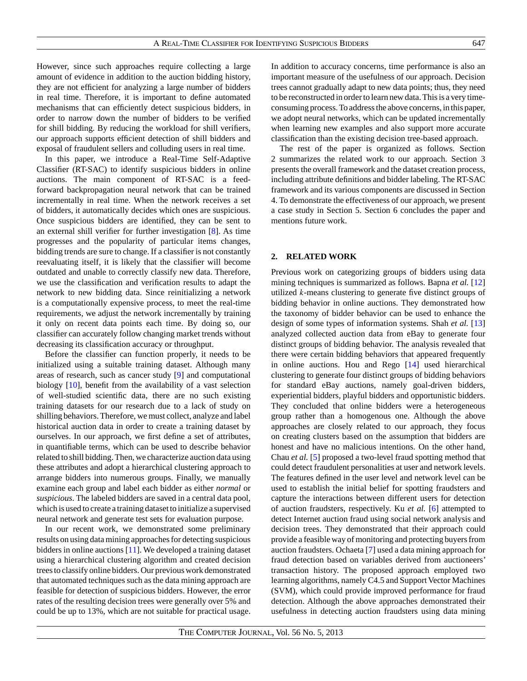However, since such approaches require collecting a large amount of evidence in addition to the auction bidding history, they are not efficient for analyzing a large number of bidders in real time. Therefore, it is important to define automated mechanisms that can efficiently detect suspicious bidders, in order to narrow down the number of bidders to be verified for shill bidding. By reducing the workload for shill verifiers, our approach supports efficient detection of shill bidders and exposal of fraudulent sellers and colluding users in real time.

In this paper, we introduce a Real-Time Self-Adaptive Classifier (RT-SAC) to identify suspicious bidders in online auctions. The main component of RT-SAC is a feedforward backpropagation neural network that can be trained incrementally in real time. When the network receives a set of bidders, it automatically decides which ones are suspicious. Once suspicious bidders are identified, they can be sent to an external shill verifier for further investigation [\[8\]](#page-16-0). As time progresses and the popularity of particular items changes, bidding trends are sure to change. If a classifier is not constantly reevaluating itself, it is likely that the classifier will become outdated and unable to correctly classify new data. Therefore, we use the classification and verification results to adapt the network to new bidding data. Since reinitializing a network is a computationally expensive process, to meet the real-time requirements, we adjust the network incrementally by training it only on recent data points each time. By doing so, our classifier can accurately follow changing market trends without decreasing its classification accuracy or throughput.

Before the classifier can function properly, it needs to be initialized using a suitable training dataset. Although many areas of research, such as cancer study [\[9\]](#page-16-0) and computational biology [\[10\]](#page-16-0), benefit from the availability of a vast selection of well-studied scientific data, there are no such existing training datasets for our research due to a lack of study on shilling behaviors. Therefore, we must collect, analyze and label historical auction data in order to create a training dataset by ourselves. In our approach, we first define a set of attributes, in quantifiable terms, which can be used to describe behavior related to shill bidding. Then, we characterize auction data using these attributes and adopt a hierarchical clustering approach to arrange bidders into numerous groups. Finally, we manually examine each group and label each bidder as either *normal* or *suspicious*. The labeled bidders are saved in a central data pool, which is used to create a training dataset to initialize a supervised neural network and generate test sets for evaluation purpose.

In our recent work, we demonstrated some preliminary results on using data mining approaches for detecting suspicious bidders in online auctions [\[11](#page-16-0)]. We developed a training dataset using a hierarchical clustering algorithm and created decision trees to classify online bidders. Our previous work demonstrated that automated techniques such as the data mining approach are feasible for detection of suspicious bidders. However, the error rates of the resulting decision trees were generally over 5% and could be up to 13%, which are not suitable for practical usage. In addition to accuracy concerns, time performance is also an important measure of the usefulness of our approach. Decision trees cannot gradually adapt to new data points; thus, they need to be reconstructed in order to learn new data. This is a very timeconsuming process. To address the above concerns, in this paper, we adopt neural networks, which can be updated incrementally when learning new examples and also support more accurate classification than the existing decision tree-based approach.

The rest of the paper is organized as follows. Section 2 summarizes the related work to our approach. Section 3 presents the overall framework and the dataset creation process, including attribute definitions and bidder labeling. The RT-SAC framework and its various components are discussed in Section 4. To demonstrate the effectiveness of our approach, we present a case study in Section 5. Section 6 concludes the paper and mentions future work.

## **2. RELATED WORK**

Previous work on categorizing groups of bidders using data mining techniques is summarized as follows. Bapna *et al.* [\[12](#page-16-0)] utilized *k*-means clustering to generate five distinct groups of bidding behavior in online auctions. They demonstrated how the taxonomy of bidder behavior can be used to enhance the design of some types of information systems. Shah *et al.* [\[13](#page-16-0)] analyzed collected auction data from eBay to generate four distinct groups of bidding behavior. The analysis revealed that there were certain bidding behaviors that appeared frequently in online auctions. Hou and Rego [\[14](#page-16-0)] used hierarchical clustering to generate four distinct groups of bidding behaviors for standard eBay auctions, namely goal-driven bidders, experiential bidders, playful bidders and opportunistic bidders. They concluded that online bidders were a heterogeneous group rather than a homogenous one. Although the above approaches are closely related to our approach, they focus on creating clusters based on the assumption that bidders are honest and have no malicious intentions. On the other hand, Chau *et al.* [\[5](#page-15-0)] proposed a two-level fraud spotting method that could detect fraudulent personalities at user and network levels. The features defined in the user level and network level can be used to establish the initial belief for spotting fraudsters and capture the interactions between different users for detection of auction fraudsters, respectively. Ku *et al.* [\[6](#page-15-0)] attempted to detect Internet auction fraud using social network analysis and decision trees. They demonstrated that their approach could provide a feasible way of monitoring and protecting buyers from auction fraudsters. Ochaeta [\[7\]](#page-15-0) used a data mining approach for fraud detection based on variables derived from auctioneers' transaction history. The proposed approach employed two learning algorithms, namely C4.5 and Support Vector Machines (SVM), which could provide improved performance for fraud detection. Although the above approaches demonstrated their usefulness in detecting auction fraudsters using data mining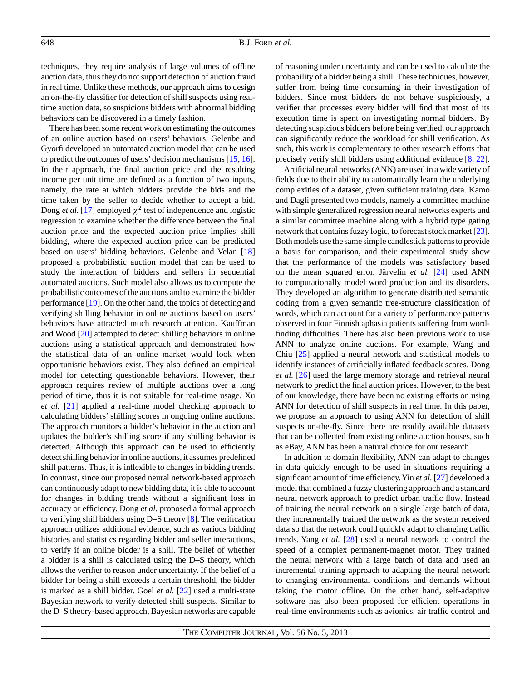techniques, they require analysis of large volumes of offline auction data, thus they do not support detection of auction fraud in real time. Unlike these methods, our approach aims to design

an on-the-fly classifier for detection of shill suspects using realtime auction data, so suspicious bidders with abnormal bidding

behaviors can be discovered in a timely fashion. There has been some recent work on estimating the outcomes of an online auction based on users' behaviors. Gelenbe and Gyorfi developed an automated auction model that can be used to predict the outcomes of users' decision mechanisms [\[15,](#page-16-0) [16](#page-16-0)]. In their approach, the final auction price and the resulting income per unit time are defined as a function of two inputs, namely, the rate at which bidders provide the bids and the time taken by the seller to decide whether to accept a bid. Dong *et al.* [\[17](#page-16-0)] employed  $χ²$  test of independence and logistic regression to examine whether the difference between the final auction price and the expected auction price implies shill bidding, where the expected auction price can be predicted based on users' bidding behaviors. Gelenbe and Velan [\[18](#page-16-0)] proposed a probabilistic auction model that can be used to study the interaction of bidders and sellers in sequential automated auctions. Such model also allows us to compute the probabilistic outcomes of the auctions and to examine the bidder performance [\[19](#page-16-0)]. On the other hand, the topics of detecting and verifying shilling behavior in online auctions based on users' behaviors have attracted much research attention. Kauffman and Wood [\[20\]](#page-16-0) attempted to detect shilling behaviors in online auctions using a statistical approach and demonstrated how the statistical data of an online market would look when opportunistic behaviors exist. They also defined an empirical model for detecting questionable behaviors. However, their approach requires review of multiple auctions over a long period of time, thus it is not suitable for real-time usage. Xu *et al.* [\[21](#page-16-0)] applied a real-time model checking approach to calculating bidders' shilling scores in ongoing online auctions. The approach monitors a bidder's behavior in the auction and updates the bidder's shilling score if any shilling behavior is detected. Although this approach can be used to efficiently detect shilling behavior in online auctions, it assumes predefined shill patterns. Thus, it is inflexible to changes in bidding trends. In contrast, since our proposed neural network-based approach can continuously adapt to new bidding data, it is able to account for changes in bidding trends without a significant loss in accuracy or efficiency. Dong *et al.* proposed a formal approach to verifying shill bidders using D–S theory [\[8](#page-16-0)]. The verification approach utilizes additional evidence, such as various bidding histories and statistics regarding bidder and seller interactions, to verify if an online bidder is a shill. The belief of whether a bidder is a shill is calculated using the D–S theory, which allows the verifier to reason under uncertainty. If the belief of a bidder for being a shill exceeds a certain threshold, the bidder is marked as a shill bidder. Goel *et al.* [\[22](#page-16-0)] used a multi-state Bayesian network to verify detected shill suspects. Similar to the D–S theory-based approach, Bayesian networks are capable of reasoning under uncertainty and can be used to calculate the probability of a bidder being a shill. These techniques, however, suffer from being time consuming in their investigation of bidders. Since most bidders do not behave suspiciously, a verifier that processes every bidder will find that most of its execution time is spent on investigating normal bidders. By detecting suspicious bidders before being verified, our approach can significantly reduce the workload for shill verification. As such, this work is complementary to other research efforts that precisely verify shill bidders using additional evidence [\[8](#page-16-0), [22\]](#page-16-0).

Artificial neural networks (ANN) are used in a wide variety of fields due to their ability to automatically learn the underlying complexities of a dataset, given sufficient training data. Kamo and Dagli presented two models, namely a committee machine with simple generalized regression neural networks experts and a similar committee machine along with a hybrid type gating network that contains fuzzy logic, to forecast stock market [\[23\]](#page-16-0). Both models use the same simple candlestick patterns to provide a basis for comparison, and their experimental study show that the performance of the models was satisfactory based on the mean squared error. Järvelin *et al.* [\[24](#page-16-0)] used ANN to computationally model word production and its disorders. They developed an algorithm to generate distributed semantic coding from a given semantic tree-structure classification of words, which can account for a variety of performance patterns observed in four Finnish aphasia patients suffering from wordfinding difficulties. There has also been previous work to use ANN to analyze online auctions. For example, Wang and Chiu [\[25](#page-16-0)] applied a neural network and statistical models to identify instances of artificially inflated feedback scores. Dong *et al.* [\[26\]](#page-16-0) used the large memory storage and retrieval neural network to predict the final auction prices. However, to the best of our knowledge, there have been no existing efforts on using ANN for detection of shill suspects in real time. In this paper, we propose an approach to using ANN for detection of shill suspects on-the-fly. Since there are readily available datasets that can be collected from existing online auction houses, such as eBay, ANN has been a natural choice for our research.

In addition to domain flexibility, ANN can adapt to changes in data quickly enough to be used in situations requiring a significant amount of time efficiency.Yin *et al.* [\[27\]](#page-16-0) developed a model that combined a fuzzy clustering approach and a standard neural network approach to predict urban traffic flow. Instead of training the neural network on a single large batch of data, they incrementally trained the network as the system received data so that the network could quickly adapt to changing traffic trends. Yang *et al.* [\[28\]](#page-16-0) used a neural network to control the speed of a complex permanent-magnet motor. They trained the neural network with a large batch of data and used an incremental training approach to adapting the neural network to changing environmental conditions and demands without taking the motor offline. On the other hand, self-adaptive software has also been proposed for efficient operations in real-time environments such as avionics, air traffic control and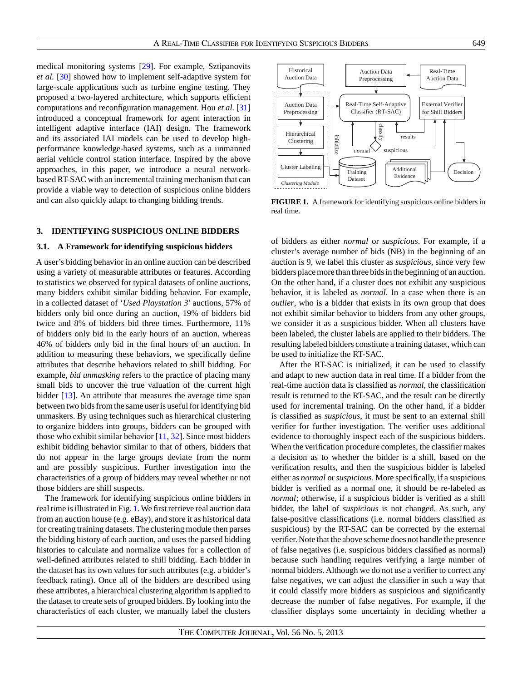medical monitoring systems [\[29](#page-16-0)]. For example, Sztipanovits *et al.* [\[30](#page-16-0)] showed how to implement self-adaptive system for large-scale applications such as turbine engine testing. They proposed a two-layered architecture, which supports efficient computations and reconfiguration management. Hou *et al.* [\[31](#page-16-0)] introduced a conceptual framework for agent interaction in intelligent adaptive interface (IAI) design. The framework and its associated IAI models can be used to develop highperformance knowledge-based systems, such as a unmanned aerial vehicle control station interface. Inspired by the above approaches, in this paper, we introduce a neural networkbased RT-SAC with an incremental training mechanism that can provide a viable way to detection of suspicious online bidders and can also quickly adapt to changing bidding trends.

# **3. IDENTIFYING SUSPICIOUS ONLINE BIDDERS**

## **3.1. A Framework for identifying suspicious bidders**

A user's bidding behavior in an online auction can be described using a variety of measurable attributes or features. According to statistics we observed for typical datasets of online auctions, many bidders exhibit similar bidding behavior. For example, in a collected dataset of '*Used Playstation 3*' auctions, 57% of bidders only bid once during an auction, 19% of bidders bid twice and 8% of bidders bid three times. Furthermore, 11% of bidders only bid in the early hours of an auction, whereas 46% of bidders only bid in the final hours of an auction. In addition to measuring these behaviors, we specifically define attributes that describe behaviors related to shill bidding. For example, *bid unmasking* refers to the practice of placing many small bids to uncover the true valuation of the current high bidder [\[13](#page-16-0)]. An attribute that measures the average time span between two bids from the same user is useful for identifying bid unmaskers. By using techniques such as hierarchical clustering to organize bidders into groups, bidders can be grouped with those who exhibit similar behavior [\[11](#page-16-0), [32\]](#page-16-0). Since most bidders exhibit bidding behavior similar to that of others, bidders that do not appear in the large groups deviate from the norm and are possibly suspicious. Further investigation into the characteristics of a group of bidders may reveal whether or not those bidders are shill suspects.

The framework for identifying suspicious online bidders in real time is illustrated in Fig. 1.We first retrieve real auction data from an auction house (e.g. eBay), and store it as historical data for creating training datasets. The clustering module then parses the bidding history of each auction, and uses the parsed bidding histories to calculate and normalize values for a collection of well-defined attributes related to shill bidding. Each bidder in the dataset has its own values for such attributes (e.g. a bidder's feedback rating). Once all of the bidders are described using these attributes, a hierarchical clustering algorithm is applied to the dataset to create sets of grouped bidders. By looking into the characteristics of each cluster, we manually label the clusters



**FIGURE 1.** A framework for identifying suspicious online bidders in real time.

of bidders as either *normal* or *suspicious*. For example, if a cluster's average number of bids (NB) in the beginning of an auction is 9, we label this cluster as *suspicious*, since very few bidders place more than three bids in the beginning of an auction. On the other hand, if a cluster does not exhibit any suspicious behavior, it is labeled as *normal*. In a case when there is an *outlier*, who is a bidder that exists in its own group that does not exhibit similar behavior to bidders from any other groups, we consider it as a suspicious bidder. When all clusters have been labeled, the cluster labels are applied to their bidders. The resulting labeled bidders constitute a training dataset, which can be used to initialize the RT-SAC.

After the RT-SAC is initialized, it can be used to classify and adapt to new auction data in real time. If a bidder from the real-time auction data is classified as *normal*, the classification result is returned to the RT-SAC, and the result can be directly used for incremental training. On the other hand, if a bidder is classified as *suspicious*, it must be sent to an external shill verifier for further investigation. The verifier uses additional evidence to thoroughly inspect each of the suspicious bidders. When the verification procedure completes, the classifier makes a decision as to whether the bidder is a shill, based on the verification results, and then the suspicious bidder is labeled either as *normal* or*suspicious*. More specifically, if a suspicious bidder is verified as a normal one, it should be re-labeled as *normal*; otherwise, if a suspicious bidder is verified as a shill bidder, the label of *suspicious* is not changed. As such, any false-positive classifications (i.e. normal bidders classified as suspicious) by the RT-SAC can be corrected by the external verifier. Note that the above scheme does not handle the presence of false negatives (i.e. suspicious bidders classified as normal) because such handling requires verifying a large number of normal bidders. Although we do not use a verifier to correct any false negatives, we can adjust the classifier in such a way that it could classify more bidders as suspicious and significantly decrease the number of false negatives. For example, if the classifier displays some uncertainty in deciding whether a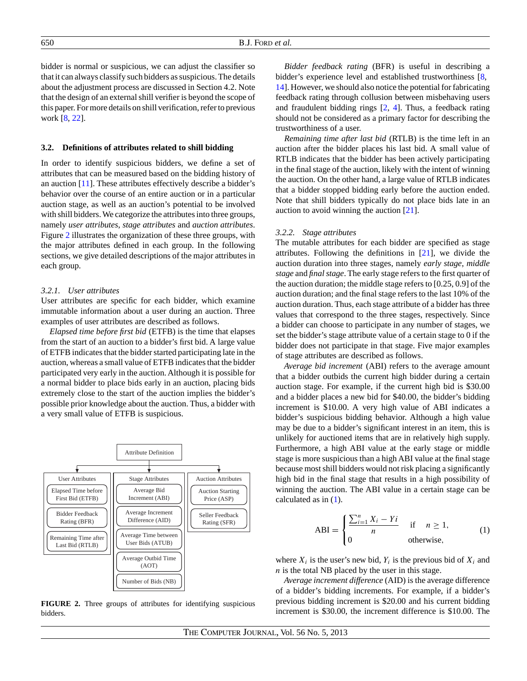bidder is normal or suspicious, we can adjust the classifier so that it can always classify such bidders as suspicious. The details about the adjustment process are discussed in Section 4.2. Note that the design of an external shill verifier is beyond the scope of this paper. For more details on shill verification, refer to previous work [\[8,](#page-16-0) [22\]](#page-16-0).

#### **3.2. Definitions of attributes related to shill bidding**

In order to identify suspicious bidders, we define a set of attributes that can be measured based on the bidding history of an auction [\[11\]](#page-16-0). These attributes effectively describe a bidder's behavior over the course of an entire auction or in a particular auction stage, as well as an auction's potential to be involved with shill bidders.We categorize the attributes into three groups, namely *user attributes*, *stage attributes* and *auction attributes*. Figure 2 illustrates the organization of these three groups, with the major attributes defined in each group. In the following sections, we give detailed descriptions of the major attributes in each group.

#### *3.2.1. User attributes*

User attributes are specific for each bidder, which examine immutable information about a user during an auction. Three examples of user attributes are described as follows.

*Elapsed time before first bid* (ETFB) is the time that elapses from the start of an auction to a bidder's first bid. A large value of ETFB indicates that the bidder started participating late in the auction, whereas a small value of ETFB indicates that the bidder participated very early in the auction. Although it is possible for a normal bidder to place bids early in an auction, placing bids extremely close to the start of the auction implies the bidder's possible prior knowledge about the auction. Thus, a bidder with a very small value of ETFB is suspicious.



**FIGURE 2.** Three groups of attributes for identifying suspicious bidders.

*Bidder feedback rating* (BFR) is useful in describing a bidder's experience level and established trustworthiness [\[8,](#page-16-0) [14\]](#page-16-0). However, we should also notice the potential for fabricating feedback rating through collusion between misbehaving users and fraudulent bidding rings [\[2,](#page-15-0) [4](#page-15-0)]. Thus, a feedback rating should not be considered as a primary factor for describing the trustworthiness of a user.

*Remaining time after last bid* (RTLB) is the time left in an auction after the bidder places his last bid. A small value of RTLB indicates that the bidder has been actively participating in the final stage of the auction, likely with the intent of winning the auction. On the other hand, a large value of RTLB indicates that a bidder stopped bidding early before the auction ended. Note that shill bidders typically do not place bids late in an auction to avoid winning the auction [\[21\]](#page-16-0).

### *3.2.2. Stage attributes*

The mutable attributes for each bidder are specified as stage attributes. Following the definitions in [\[21\]](#page-16-0), we divide the auction duration into three stages, namely *early stage*, *middle stage* and *final stage*. The early stage refers to the first quarter of the auction duration; the middle stage refers to [0.25, 0.9] of the auction duration; and the final stage refers to the last 10% of the auction duration. Thus, each stage attribute of a bidder has three values that correspond to the three stages, respectively. Since a bidder can choose to participate in any number of stages, we set the bidder's stage attribute value of a certain stage to 0 if the bidder does not participate in that stage. Five major examples of stage attributes are described as follows.

*Average bid increment* (ABI) refers to the average amount that a bidder outbids the current high bidder during a certain auction stage. For example, if the current high bid is \$30.00 and a bidder places a new bid for \$40.00, the bidder's bidding increment is \$10.00. A very high value of ABI indicates a bidder's suspicious bidding behavior. Although a high value may be due to a bidder's significant interest in an item, this is unlikely for auctioned items that are in relatively high supply. Furthermore, a high ABI value at the early stage or middle stage is more suspicious than a high ABI value at the final stage because most shill bidders would not risk placing a significantly high bid in the final stage that results in a high possibility of winning the auction. The ABI value in a certain stage can be calculated as in (1).

$$
ABI = \begin{cases} \frac{\sum_{i=1}^{n} X_i - Yi}{n} & \text{if } n \ge 1, \\ 0 & \text{otherwise,} \end{cases}
$$
 (1)

where  $X_i$  is the user's new bid,  $Y_i$  is the previous bid of  $X_i$  and *n* is the total NB placed by the user in this stage.

*Average increment difference* (AID) is the average difference of a bidder's bidding increments. For example, if a bidder's previous bidding increment is \$20.00 and his current bidding increment is \$30.00, the increment difference is \$10.00. The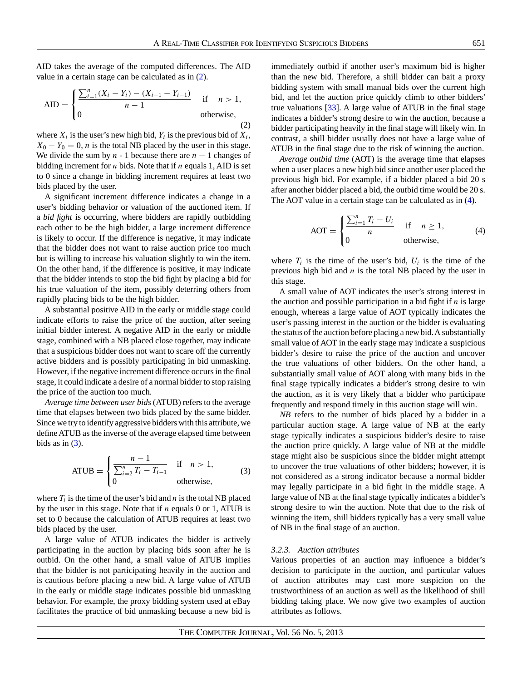AID takes the average of the computed differences. The AID value in a certain stage can be calculated as in (2).

$$
AID = \begin{cases} \frac{\sum_{i=1}^{n} (X_i - Y_i) - (X_{i-1} - Y_{i-1})}{n-1} & \text{if } n > 1, \\ 0 & \text{otherwise,} \end{cases}
$$
 (2)

where  $X_i$  is the user's new high bid,  $Y_i$  is the previous bid of  $X_i$ ,  $X_0 - Y_0 = 0$ , *n* is the total NB placed by the user in this stage. We divide the sum by  $n - 1$  because there are  $n - 1$  changes of bidding increment for *n* bids. Note that if *n* equals 1, AID is set to 0 since a change in bidding increment requires at least two bids placed by the user.

A significant increment difference indicates a change in a user's bidding behavior or valuation of the auctioned item. If a *bid fight* is occurring, where bidders are rapidly outbidding each other to be the high bidder, a large increment difference is likely to occur. If the difference is negative, it may indicate that the bidder does not want to raise auction price too much but is willing to increase his valuation slightly to win the item. On the other hand, if the difference is positive, it may indicate that the bidder intends to stop the bid fight by placing a bid for his true valuation of the item, possibly deterring others from rapidly placing bids to be the high bidder.

A substantial positive AID in the early or middle stage could indicate efforts to raise the price of the auction, after seeing initial bidder interest. A negative AID in the early or middle stage, combined with a NB placed close together, may indicate that a suspicious bidder does not want to scare off the currently active bidders and is possibly participating in bid unmasking. However, if the negative increment difference occurs in the final stage, it could indicate a desire of a normal bidder to stop raising the price of the auction too much.

*Average time between user bids* (ATUB) refers to the average time that elapses between two bids placed by the same bidder. Since we try to identify aggressive bidders with this attribute, we define ATUB as the inverse of the average elapsed time between bids as in  $(3)$ .

ATUB = 
$$
\begin{cases} \frac{n-1}{\sum_{i=2}^{n} T_i - T_{i-1}} & \text{if } n > 1, \\ 0 & \text{otherwise,} \end{cases}
$$
 (3)

where  $T_i$  is the time of the user's bid and  $n$  is the total NB placed by the user in this stage. Note that if *n* equals 0 or 1, ATUB is set to 0 because the calculation of ATUB requires at least two bids placed by the user.

A large value of ATUB indicates the bidder is actively participating in the auction by placing bids soon after he is outbid. On the other hand, a small value of ATUB implies that the bidder is not participating heavily in the auction and is cautious before placing a new bid. A large value of ATUB in the early or middle stage indicates possible bid unmasking behavior. For example, the proxy bidding system used at eBay facilitates the practice of bid unmasking because a new bid is

immediately outbid if another user's maximum bid is higher than the new bid. Therefore, a shill bidder can bait a proxy bidding system with small manual bids over the current high bid, and let the auction price quickly climb to other bidders' true valuations [\[33](#page-16-0)]. A large value of ATUB in the final stage indicates a bidder's strong desire to win the auction, because a bidder participating heavily in the final stage will likely win. In contrast, a shill bidder usually does not have a large value of ATUB in the final stage due to the risk of winning the auction.

*Average outbid time* (AOT) is the average time that elapses when a user places a new high bid since another user placed the previous high bid. For example, if a bidder placed a bid 20 s after another bidder placed a bid, the outbid time would be 20 s. The AOT value in a certain stage can be calculated as in (4).

$$
AOT = \begin{cases} \frac{\sum_{i=1}^{n} T_i - U_i}{n} & \text{if } n \ge 1, \\ 0 & \text{otherwise,} \end{cases}
$$
 (4)

where  $T_i$  is the time of the user's bid,  $U_i$  is the time of the previous high bid and *n* is the total NB placed by the user in this stage.

A small value of AOT indicates the user's strong interest in the auction and possible participation in a bid fight if *n* is large enough, whereas a large value of AOT typically indicates the user's passing interest in the auction or the bidder is evaluating the status of the auction before placing a new bid.A substantially small value of AOT in the early stage may indicate a suspicious bidder's desire to raise the price of the auction and uncover the true valuations of other bidders. On the other hand, a substantially small value of AOT along with many bids in the final stage typically indicates a bidder's strong desire to win the auction, as it is very likely that a bidder who participate frequently and respond timely in this auction stage will win.

*NB* refers to the number of bids placed by a bidder in a particular auction stage. A large value of NB at the early stage typically indicates a suspicious bidder's desire to raise the auction price quickly. A large value of NB at the middle stage might also be suspicious since the bidder might attempt to uncover the true valuations of other bidders; however, it is not considered as a strong indicator because a normal bidder may legally participate in a bid fight in the middle stage. A large value of NB at the final stage typically indicates a bidder's strong desire to win the auction. Note that due to the risk of winning the item, shill bidders typically has a very small value of NB in the final stage of an auction.

## *3.2.3. Auction attributes*

Various properties of an auction may influence a bidder's decision to participate in the auction, and particular values of auction attributes may cast more suspicion on the trustworthiness of an auction as well as the likelihood of shill bidding taking place. We now give two examples of auction attributes as follows.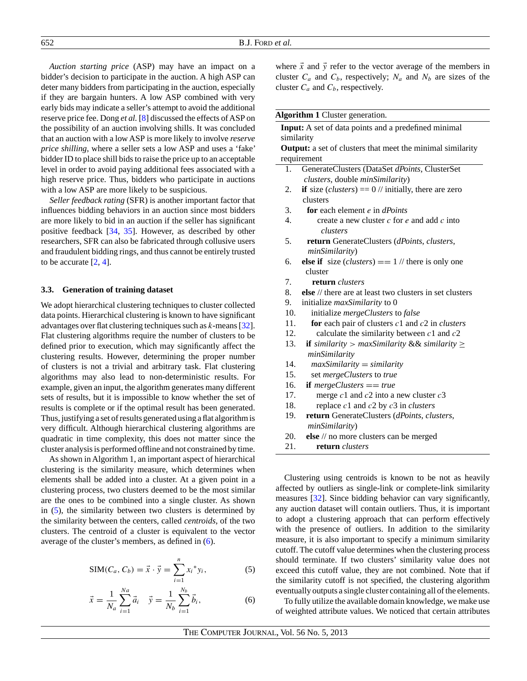*Auction starting price* (ASP) may have an impact on a bidder's decision to participate in the auction. A high ASP can deter many bidders from participating in the auction, especially if they are bargain hunters. A low ASP combined with very early bids may indicate a seller's attempt to avoid the additional reserve price fee. Dong *et al.* [\[8\]](#page-16-0) discussed the effects of ASP on the possibility of an auction involving shills. It was concluded that an auction with a low ASP is more likely to involve *reserve price shilling*, where a seller sets a low ASP and uses a 'fake' bidder ID to place shill bids to raise the price up to an acceptable level in order to avoid paying additional fees associated with a high reserve price. Thus, bidders who participate in auctions with a low ASP are more likely to be suspicious.

*Seller feedback rating* (SFR) is another important factor that influences bidding behaviors in an auction since most bidders are more likely to bid in an auction if the seller has significant positive feedback [\[34](#page-16-0), [35\]](#page-16-0). However, as described by other researchers, SFR can also be fabricated through collusive users and fraudulent bidding rings, and thus cannot be entirely trusted to be accurate [\[2,](#page-15-0) [4\]](#page-15-0).

#### **3.3. Generation of training dataset**

We adopt hierarchical clustering techniques to cluster collected data points. Hierarchical clustering is known to have significant advantages over flat clustering techniques such as *k*-means [\[32\]](#page-16-0). Flat clustering algorithms require the number of clusters to be defined prior to execution, which may significantly affect the clustering results. However, determining the proper number of clusters is not a trivial and arbitrary task. Flat clustering algorithms may also lead to non-deterministic results. For example, given an input, the algorithm generates many different sets of results, but it is impossible to know whether the set of results is complete or if the optimal result has been generated. Thus, justifying a set of results generated using a flat algorithm is very difficult. Although hierarchical clustering algorithms are quadratic in time complexity, this does not matter since the cluster analysis is performed offline and not constrained by time.

As shown in Algorithm 1, an important aspect of hierarchical clustering is the similarity measure, which determines when elements shall be added into a cluster. At a given point in a clustering process, two clusters deemed to be the most similar are the ones to be combined into a single cluster. As shown in (5), the similarity between two clusters is determined by the similarity between the centers, called *centroids*, of the two clusters. The centroid of a cluster is equivalent to the vector average of the cluster's members, as defined in (6).

$$
SIM(C_a, C_b) = \vec{x} \cdot \vec{y} = \sum_{i=1}^{n} x_i^* y_i,
$$
 (5)

$$
\vec{x} = \frac{1}{N_a} \sum_{i=1}^{N_a} \vec{a}_i \quad \vec{y} = \frac{1}{N_b} \sum_{i=1}^{N_b} \vec{b}_i,
$$
 (6)

where  $\vec{x}$  and  $\vec{y}$  refer to the vector average of the members in cluster  $C_a$  and  $C_b$ , respectively;  $N_a$  and  $N_b$  are sizes of the cluster  $C_a$  and  $C_b$ , respectively.

# **Algorithm 1** Cluster generation.

# **Input:** A set of data points and a predefined minimal similarity

**Output:** a set of clusters that meet the minimal similarity requirement

- 1. GenerateClusters (DataSet *dPoints*, ClusterSet *clusters*, double *minSimilarity*)
- 2. **if** size (*clusters*) == 0  $\text{/}\text{/}$  initially, there are zero clusters
- 3. **for** each element *e* in *dPoints*
- 4. create a new cluster *c* for *e* and add *c* into *clusters*
- 5. **return** GenerateClusters (*dPoints*, *clusters*, *minSimilarity*)
- 6. **else if** size (*clusters*) ==  $1$  // there is only one cluster
- 7. **return** *clusters*
- 8. **else** // there are at least two clusters in set clusters
- 9. initialize *maxSimilarity* to 0
- 10. initialize *mergeClusters* to *false*
- 11. **for** each pair of clusters *c*1 and *c*2 in *clusters*
- 12. calculate the similarity between *c*1 and *c*2
- 13. **if** *similarity* > *maxSimilarity* && *similarity*  $\geq$ *minSimilarity*
- 14. *maxSimilarity* = *similarity*<br>15. **set** *mergeClusters* to *true*
- 15. set *mergeClusters* to *true*
- 16. **if**  $mergeClusters == true$ <br>17. merge c1 and c2 into a
- merge  $c1$  and  $c2$  into a new cluster  $c3$
- 18. replace *c*1 and *c*2 by *c*3 in *clusters*
- 19. **return** GenerateClusters (*dPoints*, *clusters*, *minSimilarity*)
- 20. **else** // no more clusters can be merged
- 21. **return** *clusters*

Clustering using centroids is known to be not as heavily affected by outliers as single-link or complete-link similarity measures [\[32](#page-16-0)]. Since bidding behavior can vary significantly, any auction dataset will contain outliers. Thus, it is important to adopt a clustering approach that can perform effectively with the presence of outliers. In addition to the similarity measure, it is also important to specify a minimum similarity cutoff. The cutoff value determines when the clustering process should terminate. If two clusters' similarity value does not exceed this cutoff value, they are not combined. Note that if the similarity cutoff is not specified, the clustering algorithm eventually outputs a single cluster containing all of the elements.

To fully utilize the available domain knowledge, we make use of weighted attribute values. We noticed that certain attributes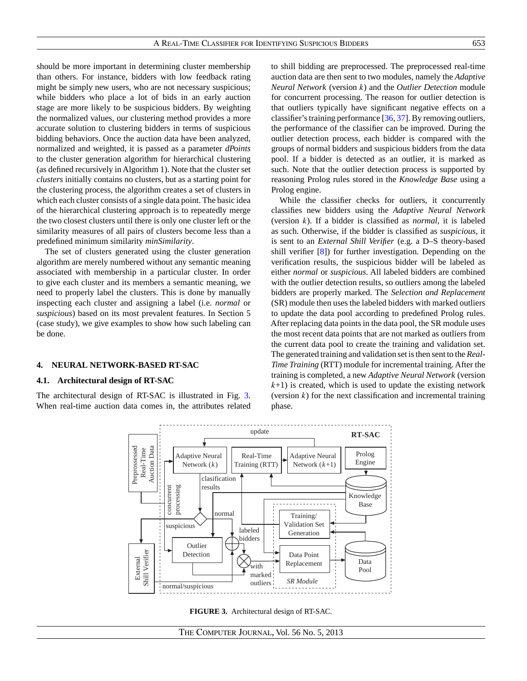should be more important in determining cluster membership than others. For instance, bidders with low feedback rating might be simply new users, who are not necessary suspicious; while bidders who place a lot of bids in an early auction stage are more likely to be suspicious bidders. By weighting the normalized values, our clustering method provides a more accurate solution to clustering bidders in terms of suspicious bidding behaviors. Once the auction data have been analyzed, normalized and weighted, it is passed as a parameter *dPoints* to the cluster generation algorithm for hierarchical clustering (as defined recursively in Algorithm 1). Note that the cluster set *clusters* initially contains no clusters, but as a starting point for the clustering process, the algorithm creates a set of clusters in which each cluster consists of a single data point. The basic idea of the hierarchical clustering approach is to repeatedly merge the two closest clusters until there is only one cluster left or the similarity measures of all pairs of clusters become less than a predefined minimum similarity *minSimilarity*.

The set of clusters generated using the cluster generation algorithm are merely numbered without any semantic meaning associated with membership in a particular cluster. In order to give each cluster and its members a semantic meaning, we need to properly label the clusters. This is done by manually inspecting each cluster and assigning a label (i.e. *normal* or *suspicious*) based on its most prevalent features. In Section 5 (case study), we give examples to show how such labeling can be done.

#### **4. NEURAL NETWORK-BASED RT-SAC**

# **4.1. Architectural design of RT-SAC**

The architectural design of RT-SAC is illustrated in Fig. 3. When real-time auction data comes in, the attributes related to shill bidding are preprocessed. The preprocessed real-time auction data are then sent to two modules, namely the *Adaptive Neural Network* (version *k*) and the *Outlier Detection* module for concurrent processing. The reason for outlier detection is that outliers typically have significant negative effects on a classifier's training performance [\[36](#page-16-0), [37](#page-16-0)]. By removing outliers, the performance of the classifier can be improved. During the outlier detection process, each bidder is compared with the groups of normal bidders and suspicious bidders from the data pool. If a bidder is detected as an outlier, it is marked as such. Note that the outlier detection process is supported by reasoning Prolog rules stored in the *Knowledge Base* using a Prolog engine.

While the classifier checks for outliers, it concurrently classifies new bidders using the *Adaptive Neural Network* (version *k*). If a bidder is classified as *normal*, it is labeled as such. Otherwise, if the bidder is classified as *suspicious*, it is sent to an *External Shill Verifier* (e.g. a D–S theory-based shill verifier [\[8](#page-16-0)]) for further investigation. Depending on the verification results, the suspicious bidder will be labeled as either *normal* or *suspicious*. All labeled bidders are combined with the outlier detection results, so outliers among the labeled bidders are properly marked. The *Selection and Replacement* (SR) module then uses the labeled bidders with marked outliers to update the data pool according to predefined Prolog rules. After replacing data points in the data pool, the SR module uses the most recent data points that are not marked as outliers from the current data pool to create the training and validation set. The generated training and validation set is then sent to the *Real-Time Training* (RTT) module for incremental training. After the training is completed, a new *Adaptive Neural Network* (version  $k+1$ ) is created, which is used to update the existing network (version *k*) for the next classification and incremental training phase.



**FIGURE 3.** Architectural design of RT-SAC.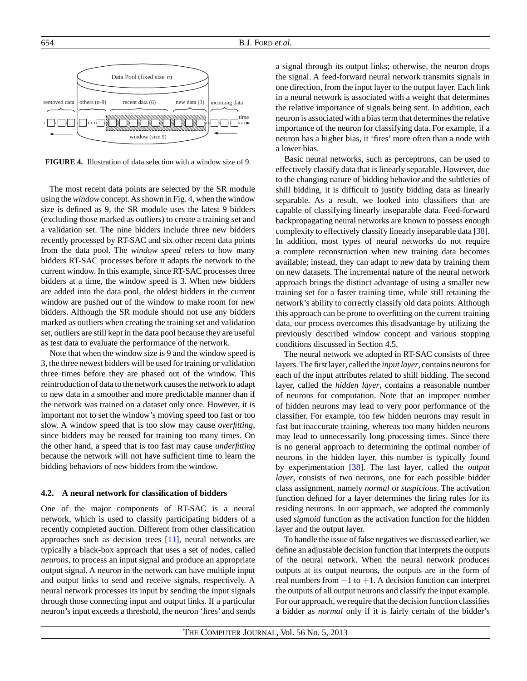<span id="page-8-0"></span>

**FIGURE 4.** Illustration of data selection with a window size of 9.

The most recent data points are selected by the SR module using the*window* concept.As shown in Fig. 4, when the window size is defined as 9, the SR module uses the latest 9 bidders (excluding those marked as outliers) to create a training set and a validation set. The nine bidders include three new bidders recently processed by RT-SAC and six other recent data points from the data pool. The *window speed* refers to how many bidders RT-SAC processes before it adapts the network to the current window. In this example, since RT-SAC processes three bidders at a time, the window speed is 3. When new bidders are added into the data pool, the oldest bidders in the current window are pushed out of the window to make room for new bidders. Although the SR module should not use any bidders marked as outliers when creating the training set and validation set, outliers are still kept in the data pool because they are useful as test data to evaluate the performance of the network.

Note that when the window size is 9 and the window speed is 3, the three newest bidders will be used for training or validation three times before they are phased out of the window. This reintroduction of data to the network causes the network to adapt to new data in a smoother and more predictable manner than if the network was trained on a dataset only once. However, it is important not to set the window's moving speed too fast or too slow. A window speed that is too slow may cause *overfitting*, since bidders may be reused for training too many times. On the other hand, a speed that is too fast may cause *underfitting* because the network will not have sufficient time to learn the bidding behaviors of new bidders from the window.

#### **4.2. A neural network for classification of bidders**

One of the major components of RT-SAC is a neural network, which is used to classify participating bidders of a recently completed auction. Different from other classification approaches such as decision trees [\[11](#page-16-0)], neural networks are typically a black-box approach that uses a set of nodes, called *neurons*, to process an input signal and produce an appropriate output signal. A neuron in the network can have multiple input and output links to send and receive signals, respectively. A neural network processes its input by sending the input signals through those connecting input and output links. If a particular neuron's input exceeds a threshold, the neuron 'fires' and sends a signal through its output links; otherwise, the neuron drops the signal. A feed-forward neural network transmits signals in one direction, from the input layer to the output layer. Each link in a neural network is associated with a weight that determines the relative importance of signals being sent. In addition, each neuron is associated with a bias term that determines the relative importance of the neuron for classifying data. For example, if a neuron has a higher bias, it 'fires' more often than a node with a lower bias.

Basic neural networks, such as perceptrons, can be used to effectively classify data that is linearly separable. However, due to the changing nature of bidding behavior and the subtleties of shill bidding, it is difficult to justify bidding data as linearly separable. As a result, we looked into classifiers that are capable of classifying linearly inseparable data. Feed-forward backpropagating neural networks are known to possess enough complexity to effectively classify linearly inseparable data [\[38\]](#page-16-0). In addition, most types of neural networks do not require a complete reconstruction when new training data becomes available; instead, they can adapt to new data by training them on new datasets. The incremental nature of the neural network approach brings the distinct advantage of using a smaller new training set for a faster training time, while still retaining the network's ability to correctly classify old data points. Although this approach can be prone to overfitting on the current training data, our process overcomes this disadvantage by utilizing the previously described window concept and various stopping conditions discussed in Section 4.5.

The neural network we adopted in RT-SAC consists of three layers. The first layer, called the *input layer*, contains neurons for each of the input attributes related to shill bidding. The second layer, called the *hidden layer*, contains a reasonable number of neurons for computation. Note that an improper number of hidden neurons may lead to very poor performance of the classifier. For example, too few hidden neurons may result in fast but inaccurate training, whereas too many hidden neurons may lead to unnecessarily long processing times. Since there is no general approach to determining the optimal number of neurons in the hidden layer, this number is typically found by experimentation [\[38](#page-16-0)]. The last layer, called the *output layer*, consists of two neurons, one for each possible bidder class assignment, namely *normal* or *suspicious*. The activation function defined for a layer determines the firing rules for its residing neurons. In our approach, we adopted the commonly used *sigmoid* function as the activation function for the hidden layer and the output layer.

To handle the issue of false negatives we discussed earlier, we define an adjustable decision function that interprets the outputs of the neural network. When the neural network produces outputs at its output neurons, the outputs are in the form of real numbers from  $-1$  to  $+1$ . A decision function can interpret the outputs of all output neurons and classify the input example. For our approach, we require that the decision function classifies a bidder as *normal* only if it is fairly certain of the bidder's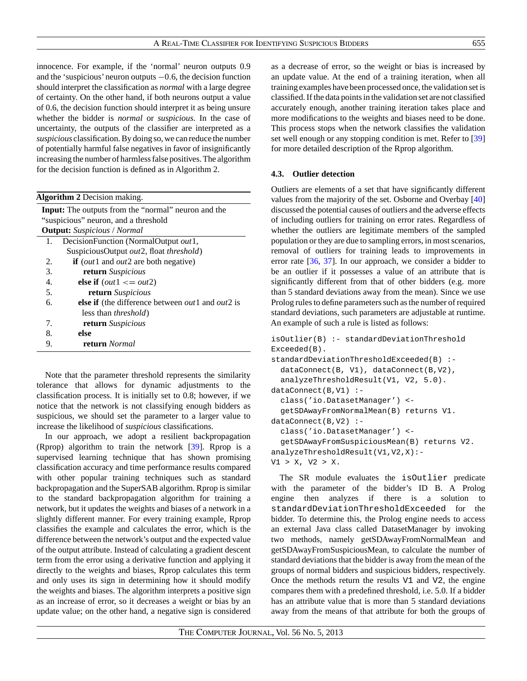innocence. For example, if the 'normal' neuron outputs 0.9 and the 'suspicious' neuron outputs −0*.*6, the decision function should interpret the classification as *normal* with a large degree of certainty. On the other hand, if both neurons output a value of 0.6, the decision function should interpret it as being unsure whether the bidder is *normal* or *suspicious*. In the case of uncertainty, the outputs of the classifier are interpreted as a *suspicious* classification. By doing so, we can reduce the number of potentially harmful false negatives in favor of insignificantly increasing the number of harmless false positives. The algorithm for the decision function is defined as in Algorithm 2.

| <b>Algorithm 2</b> Decision making.                                           |  |  |  |  |  |
|-------------------------------------------------------------------------------|--|--|--|--|--|
| <b>Input:</b> The outputs from the "normal" neuron and the                    |  |  |  |  |  |
| "suspicious" neuron, and a threshold                                          |  |  |  |  |  |
| <b>Output:</b> Suspicious / Normal                                            |  |  |  |  |  |
| DecisionFunction (NormalOutput out1,<br>1.                                    |  |  |  |  |  |
| SuspiciousOutput <i>out</i> 2, float <i>threshold</i> )                       |  |  |  |  |  |
| <b>if</b> ( <i>out</i> 1 and <i>out</i> 2 are both negative)<br>2.            |  |  |  |  |  |
| 3.<br><b>return</b> Suspicious                                                |  |  |  |  |  |
| 4.<br>else if $(out1 \leq out2)$                                              |  |  |  |  |  |
| 5.<br><b>return</b> Suspicious                                                |  |  |  |  |  |
| 6.<br><b>else if</b> (the difference between <i>out</i> 1 and <i>out</i> 2 is |  |  |  |  |  |
| less than <i>threshold</i> )                                                  |  |  |  |  |  |
| 7.<br>return Suspicious                                                       |  |  |  |  |  |
| 8.<br>else                                                                    |  |  |  |  |  |
| return Normal<br>9.                                                           |  |  |  |  |  |

Note that the parameter threshold represents the similarity tolerance that allows for dynamic adjustments to the classification process. It is initially set to 0.8; however, if we notice that the network is not classifying enough bidders as suspicious, we should set the parameter to a larger value to increase the likelihood of *suspicious* classifications.

In our approach, we adopt a resilient backpropagation (Rprop) algorithm to train the network [\[39](#page-16-0)]. Rprop is a supervised learning technique that has shown promising classification accuracy and time performance results compared with other popular training techniques such as standard backpropagation and the SuperSAB algorithm. Rprop is similar to the standard backpropagation algorithm for training a network, but it updates the weights and biases of a network in a slightly different manner. For every training example, Rprop classifies the example and calculates the error, which is the difference between the network's output and the expected value of the output attribute. Instead of calculating a gradient descent term from the error using a derivative function and applying it directly to the weights and biases, Rprop calculates this term and only uses its sign in determining how it should modify the weights and biases. The algorithm interprets a positive sign as an increase of error, so it decreases a weight or bias by an update value; on the other hand, a negative sign is considered

as a decrease of error, so the weight or bias is increased by an update value. At the end of a training iteration, when all training examples have been processed once, the validation set is classified. If the data points in the validation set are not classified accurately enough, another training iteration takes place and more modifications to the weights and biases need to be done. This process stops when the network classifies the validation set well enough or any stopping condition is met. Refer to [\[39](#page-16-0)] for more detailed description of the Rprop algorithm.

# **4.3. Outlier detection**

Outliers are elements of a set that have significantly different values from the majority of the set. Osborne and Overbay [\[40](#page-16-0)] discussed the potential causes of outliers and the adverse effects of including outliers for training on error rates. Regardless of whether the outliers are legitimate members of the sampled population or they are due to sampling errors, in most scenarios, removal of outliers for training leads to improvements in error rate [\[36](#page-16-0), [37](#page-16-0)]. In our approach, we consider a bidder to be an outlier if it possesses a value of an attribute that is significantly different from that of other bidders (e.g. more than 5 standard deviations away from the mean). Since we use Prolog rules to define parameters such as the number of required standard deviations, such parameters are adjustable at runtime. An example of such a rule is listed as follows:

```
isOutlier(B) :- standardDeviationThreshold
Exceeded(B).
```

```
standardDeviationThresholdExceeded(B) :-
  dataConnect(B, V1), dataConnect(B,V2),
  analyzeThresholdResult(V1, V2, 5.0).
dataConnect(B,V1) :-
  class('io.DatasetManager') <-
  getSDAwayFromNormalMean(B) returns V1.
dataConnect(B,V2) :-
  class('io.DatasetManager') <-
  getSDAwayFromSuspiciousMean(B) returns V2.
analyzeThresholdResult(V1,V2,X):-
V1 > X, V2 > X.
```
The SR module evaluates the isOutlier predicate with the parameter of the bidder's ID B. A Prolog engine then analyzes if there is a solution to standardDeviationThresholdExceeded for the bidder. To determine this, the Prolog engine needs to access an external Java class called DatasetManager by invoking two methods, namely getSDAwayFromNormalMean and getSDAwayFromSuspiciousMean, to calculate the number of standard deviations that the bidder is away from the mean of the groups of normal bidders and suspicious bidders, respectively. Once the methods return the results V1 and V2, the engine compares them with a predefined threshold, i.e. 5.0. If a bidder has an attribute value that is more than 5 standard deviations away from the means of that attribute for both the groups of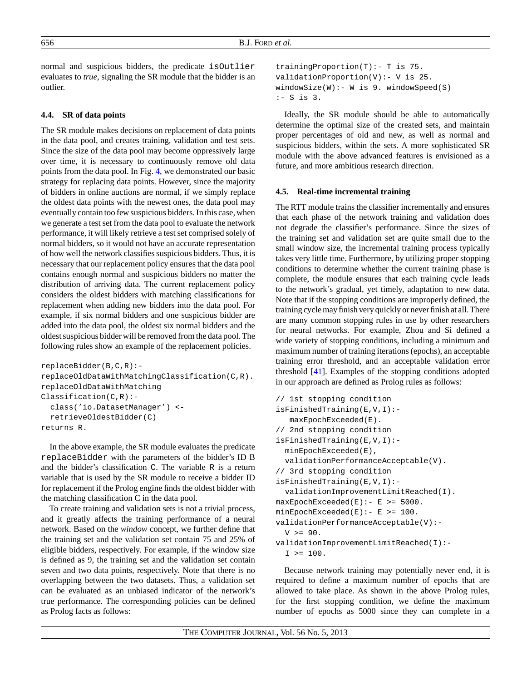normal and suspicious bidders, the predicate isOutlier evaluates to *true*, signaling the SR module that the bidder is an outlier.

#### **4.4. SR of data points**

The SR module makes decisions on replacement of data points in the data pool, and creates training, validation and test sets. Since the size of the data pool may become oppressively large over time, it is necessary to continuously remove old data points from the data pool. In Fig. [4,](#page-8-0) we demonstrated our basic strategy for replacing data points. However, since the majority of bidders in online auctions are normal, if we simply replace the oldest data points with the newest ones, the data pool may eventually contain too few suspicious bidders. In this case, when we generate a test set from the data pool to evaluate the network performance, it will likely retrieve a test set comprised solely of normal bidders, so it would not have an accurate representation of how well the network classifies suspicious bidders. Thus, it is necessary that our replacement policy ensures that the data pool contains enough normal and suspicious bidders no matter the distribution of arriving data. The current replacement policy considers the oldest bidders with matching classifications for replacement when adding new bidders into the data pool. For example, if six normal bidders and one suspicious bidder are added into the data pool, the oldest six normal bidders and the oldest suspicious bidder will be removed from the data pool. The following rules show an example of the replacement policies.

```
replaceBidder(B,C,R):-
replaceOldDataWithMatchingClassification(C,R).
replaceOldDataWithMatching
Classification(C,R):class('io.DatasetManager') <-
  retrieveOldestBidder(C)
returns R.
```
In the above example, the SR module evaluates the predicate replaceBidder with the parameters of the bidder's ID B and the bidder's classification C. The variable R is a return variable that is used by the SR module to receive a bidder ID for replacement if the Prolog engine finds the oldest bidder with the matching classification C in the data pool.

To create training and validation sets is not a trivial process, and it greatly affects the training performance of a neural network. Based on the *window* concept, we further define that the training set and the validation set contain 75 and 25% of eligible bidders, respectively. For example, if the window size is defined as 9, the training set and the validation set contain seven and two data points, respectively. Note that there is no overlapping between the two datasets. Thus, a validation set can be evaluated as an unbiased indicator of the network's true performance. The corresponding policies can be defined as Prolog facts as follows:

```
trainingProportion(T):- T is 75.
validationProportion(V):- V is 25.
windowSize(W): - W is 9. windowSpeed(S)
:- S is 3.
```
Ideally, the SR module should be able to automatically determine the optimal size of the created sets, and maintain proper percentages of old and new, as well as normal and suspicious bidders, within the sets. A more sophisticated SR module with the above advanced features is envisioned as a future, and more ambitious research direction.

#### **4.5. Real-time incremental training**

The RTT module trains the classifier incrementally and ensures that each phase of the network training and validation does not degrade the classifier's performance. Since the sizes of the training set and validation set are quite small due to the small window size, the incremental training process typically takes very little time. Furthermore, by utilizing proper stopping conditions to determine whether the current training phase is complete, the module ensures that each training cycle leads to the network's gradual, yet timely, adaptation to new data. Note that if the stopping conditions are improperly defined, the training cycle may finish very quickly or never finish at all. There are many common stopping rules in use by other researchers for neural networks. For example, Zhou and Si defined a wide variety of stopping conditions, including a minimum and maximum number of training iterations (epochs), an acceptable training error threshold, and an acceptable validation error threshold [\[41\]](#page-17-0). Examples of the stopping conditions adopted in our approach are defined as Prolog rules as follows:

```
// 1st stopping condition
isFinishedTraining(E,V,I):-
   maxEpochExceeded(E).
// 2nd stopping condition
isFinishedTraining(E,V,I):-
 minEpochExceeded(E),
 validationPerformanceAcceptable(V).
// 3rd stopping condition
isFinishedTraining(E,V,I):-
 validationImprovementLimitReached(I).
maxEpochExeceded(E): E > = 5000.
minEpochExeceded(E): E > = 100.
validationPerformanceAcceptable(V):-
  V > = 90.
validationImprovementLimitReached(I):-
  I > = 100.
```
Because network training may potentially never end, it is required to define a maximum number of epochs that are allowed to take place. As shown in the above Prolog rules, for the first stopping condition, we define the maximum number of epochs as 5000 since they can complete in a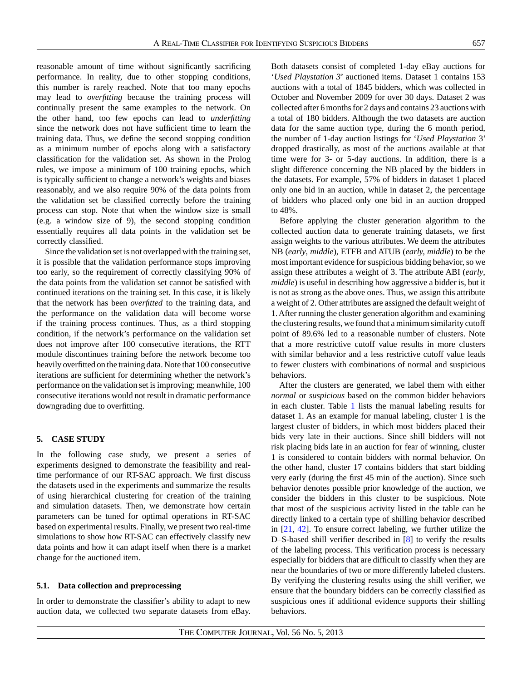reasonable amount of time without significantly sacrificing performance. In reality, due to other stopping conditions, this number is rarely reached. Note that too many epochs may lead to *overfitting* because the training process will continually present the same examples to the network. On the other hand, too few epochs can lead to *underfitting* since the network does not have sufficient time to learn the training data. Thus, we define the second stopping condition as a minimum number of epochs along with a satisfactory classification for the validation set. As shown in the Prolog rules, we impose a minimum of 100 training epochs, which is typically sufficient to change a network's weights and biases reasonably, and we also require 90% of the data points from the validation set be classified correctly before the training process can stop. Note that when the window size is small (e.g. a window size of 9), the second stopping condition essentially requires all data points in the validation set be correctly classified.

Since the validation set is not overlapped with the training set, it is possible that the validation performance stops improving too early, so the requirement of correctly classifying 90% of the data points from the validation set cannot be satisfied with continued iterations on the training set. In this case, it is likely that the network has been *overfitted* to the training data, and the performance on the validation data will become worse if the training process continues. Thus, as a third stopping condition, if the network's performance on the validation set does not improve after 100 consecutive iterations, the RTT module discontinues training before the network become too heavily overfitted on the training data. Note that 100 consecutive iterations are sufficient for determining whether the network's performance on the validation set is improving; meanwhile, 100 consecutive iterations would not result in dramatic performance downgrading due to overfitting.

# **5. CASE STUDY**

In the following case study, we present a series of experiments designed to demonstrate the feasibility and realtime performance of our RT-SAC approach. We first discuss the datasets used in the experiments and summarize the results of using hierarchical clustering for creation of the training and simulation datasets. Then, we demonstrate how certain parameters can be tuned for optimal operations in RT-SAC based on experimental results. Finally, we present two real-time simulations to show how RT-SAC can effectively classify new data points and how it can adapt itself when there is a market change for the auctioned item.

## **5.1. Data collection and preprocessing**

In order to demonstrate the classifier's ability to adapt to new auction data, we collected two separate datasets from eBay.

Both datasets consist of completed 1-day eBay auctions for '*Used Playstation 3*' auctioned items. Dataset 1 contains 153 auctions with a total of 1845 bidders, which was collected in October and November 2009 for over 30 days. Dataset 2 was collected after 6 months for 2 days and contains 23 auctions with a total of 180 bidders. Although the two datasets are auction data for the same auction type, during the 6 month period, the number of 1-day auction listings for '*Used Playstation* 3' dropped drastically, as most of the auctions available at that time were for 3- or 5-day auctions. In addition, there is a slight difference concerning the NB placed by the bidders in the datasets. For example, 57% of bidders in dataset 1 placed only one bid in an auction, while in dataset 2, the percentage of bidders who placed only one bid in an auction dropped to 48%.

Before applying the cluster generation algorithm to the collected auction data to generate training datasets, we first assign weights to the various attributes. We deem the attributes NB (*early*, *middle*), ETFB and ATUB (*early, middle*) to be the most important evidence for suspicious bidding behavior, so we assign these attributes a weight of 3. The attribute ABI (*early*, *middle*) is useful in describing how aggressive a bidder is, but it is not as strong as the above ones. Thus, we assign this attribute a weight of 2. Other attributes are assigned the default weight of 1. After running the cluster generation algorithm and examining the clustering results, we found that a minimum similarity cutoff point of 89.6% led to a reasonable number of clusters. Note that a more restrictive cutoff value results in more clusters with similar behavior and a less restrictive cutoff value leads to fewer clusters with combinations of normal and suspicious behaviors.

After the clusters are generated, we label them with either *normal* or *suspicious* based on the common bidder behaviors in each cluster. Table [1](#page-12-0) lists the manual labeling results for dataset 1. As an example for manual labeling, cluster 1 is the largest cluster of bidders, in which most bidders placed their bids very late in their auctions. Since shill bidders will not risk placing bids late in an auction for fear of winning, cluster 1 is considered to contain bidders with normal behavior. On the other hand, cluster 17 contains bidders that start bidding very early (during the first 45 min of the auction). Since such behavior denotes possible prior knowledge of the auction, we consider the bidders in this cluster to be suspicious. Note that most of the suspicious activity listed in the table can be directly linked to a certain type of shilling behavior described in [\[21](#page-16-0), [42](#page-17-0)]. To ensure correct labeling, we further utilize the D–S-based shill verifier described in [\[8](#page-16-0)] to verify the results of the labeling process. This verification process is necessary especially for bidders that are difficult to classify when they are near the boundaries of two or more differently labeled clusters. By verifying the clustering results using the shill verifier, we ensure that the boundary bidders can be correctly classified as suspicious ones if additional evidence supports their shilling behaviors.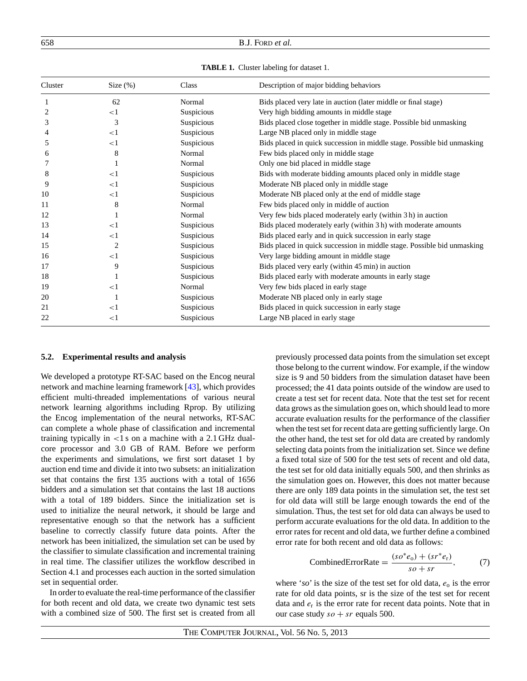## <span id="page-12-0"></span>658 B.J. Ford *et al.*

| <b>TABLE 1.</b> Cluster labeling for dataset 1. |  |  |  |  |  |
|-------------------------------------------------|--|--|--|--|--|
|-------------------------------------------------|--|--|--|--|--|

| Cluster | Size $(\%)$    | Class      | Description of major bidding behaviors                                  |  |
|---------|----------------|------------|-------------------------------------------------------------------------|--|
|         | 62             | Normal     | Bids placed very late in auction (later middle or final stage)          |  |
| 2       | $\leq$ 1       | Suspicious | Very high bidding amounts in middle stage                               |  |
| 3       | 3              | Suspicious | Bids placed close together in middle stage. Possible bid unmasking      |  |
| 4       | $\leq$ 1       | Suspicious | Large NB placed only in middle stage                                    |  |
| 5       | $\leq$ 1       | Suspicious | Bids placed in quick succession in middle stage. Possible bid unmasking |  |
| 6       | 8              | Normal     | Few bids placed only in middle stage                                    |  |
|         |                | Normal     | Only one bid placed in middle stage                                     |  |
| 8       | <1             | Suspicious | Bids with moderate bidding amounts placed only in middle stage          |  |
| 9       | <1             | Suspicious | Moderate NB placed only in middle stage                                 |  |
| 10      | $\leq$ 1       | Suspicious | Moderate NB placed only at the end of middle stage                      |  |
| 11      | 8              | Normal     | Few bids placed only in middle of auction                               |  |
| 12      |                | Normal     | Very few bids placed moderately early (within 3 h) in auction           |  |
| 13      | $\leq$ 1       | Suspicious | Bids placed moderately early (within 3 h) with moderate amounts         |  |
| 14      | <1             | Suspicious | Bids placed early and in quick succession in early stage                |  |
| 15      | $\overline{2}$ | Suspicious | Bids placed in quick succession in middle stage. Possible bid unmasking |  |
| 16      | $<$ 1          | Suspicious | Very large bidding amount in middle stage                               |  |
| 17      | 9              | Suspicious | Bids placed very early (within 45 min) in auction                       |  |
| 18      |                | Suspicious | Bids placed early with moderate amounts in early stage                  |  |
| 19      | $\leq$ 1       | Normal     | Very few bids placed in early stage                                     |  |
| 20      | 1              | Suspicious | Moderate NB placed only in early stage                                  |  |
| 21      | $\leq$ 1       | Suspicious | Bids placed in quick succession in early stage                          |  |
| 22      | $<$ 1          | Suspicious | Large NB placed in early stage                                          |  |

#### **5.2. Experimental results and analysis**

We developed a prototype RT-SAC based on the Encog neural network and machine learning framework [\[43](#page-17-0)], which provides efficient multi-threaded implementations of various neural network learning algorithms including Rprop. By utilizing the Encog implementation of the neural networks, RT-SAC can complete a whole phase of classification and incremental training typically in *<*1 s on a machine with a 2.1 GHz dualcore processor and 3.0 GB of RAM. Before we perform the experiments and simulations, we first sort dataset 1 by auction end time and divide it into two subsets: an initialization set that contains the first 135 auctions with a total of 1656 bidders and a simulation set that contains the last 18 auctions with a total of 189 bidders. Since the initialization set is used to initialize the neural network, it should be large and representative enough so that the network has a sufficient baseline to correctly classify future data points. After the network has been initialized, the simulation set can be used by the classifier to simulate classification and incremental training in real time. The classifier utilizes the workflow described in Section 4.1 and processes each auction in the sorted simulation set in sequential order.

In order to evaluate the real-time performance of the classifier for both recent and old data, we create two dynamic test sets with a combined size of 500. The first set is created from all previously processed data points from the simulation set except those belong to the current window. For example, if the window size is 9 and 50 bidders from the simulation dataset have been processed; the 41 data points outside of the window are used to create a test set for recent data. Note that the test set for recent data grows as the simulation goes on, which should lead to more accurate evaluation results for the performance of the classifier when the test set for recent data are getting sufficiently large. On the other hand, the test set for old data are created by randomly selecting data points from the initialization set. Since we define a fixed total size of 500 for the test sets of recent and old data, the test set for old data initially equals 500, and then shrinks as the simulation goes on. However, this does not matter because there are only 189 data points in the simulation set, the test set for old data will still be large enough towards the end of the simulation. Thus, the test set for old data can always be used to perform accurate evaluations for the old data. In addition to the error rates for recent and old data, we further define a combined error rate for both recent and old data as follows:

$$
CombinedErrorRate = \frac{(so^*e_0) + (sr^*e_r)}{so + sr},
$$
 (7)

where '*so*' is the size of the test set for old data,  $e_0$  is the error rate for old data points, sr is the size of the test set for recent data and *e*<sup>r</sup> is the error rate for recent data points. Note that in our case study  $so + sr$  equals 500.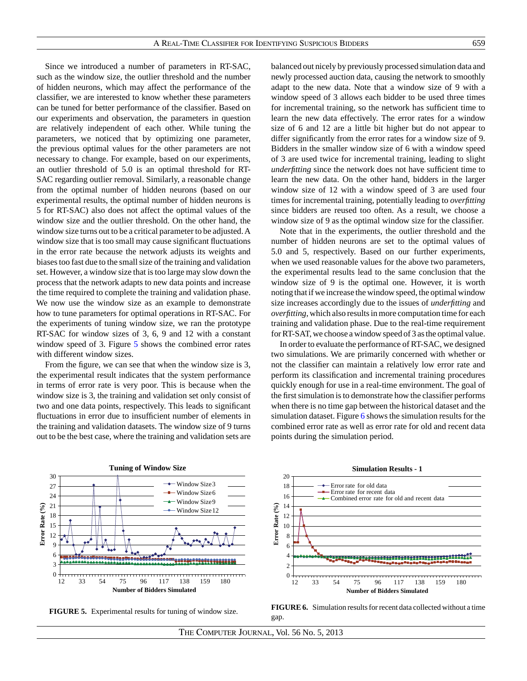Since we introduced a number of parameters in RT-SAC, such as the window size, the outlier threshold and the number of hidden neurons, which may affect the performance of the classifier, we are interested to know whether these parameters can be tuned for better performance of the classifier. Based on our experiments and observation, the parameters in question are relatively independent of each other. While tuning the parameters, we noticed that by optimizing one parameter, the previous optimal values for the other parameters are not necessary to change. For example, based on our experiments, an outlier threshold of 5.0 is an optimal threshold for RT-SAC regarding outlier removal. Similarly, a reasonable change from the optimal number of hidden neurons (based on our experimental results, the optimal number of hidden neurons is 5 for RT-SAC) also does not affect the optimal values of the window size and the outlier threshold. On the other hand, the window size turns out to be a critical parameter to be adjusted.A window size that is too small may cause significant fluctuations in the error rate because the network adjusts its weights and biases too fast due to the small size of the training and validation set. However, a window size that is too large may slow down the process that the network adapts to new data points and increase the time required to complete the training and validation phase. We now use the window size as an example to demonstrate how to tune parameters for optimal operations in RT-SAC. For the experiments of tuning window size, we ran the prototype RT-SAC for window sizes of 3, 6, 9 and 12 with a constant window speed of 3. Figure 5 shows the combined error rates with different window sizes.

From the figure, we can see that when the window size is 3, the experimental result indicates that the system performance in terms of error rate is very poor. This is because when the window size is 3, the training and validation set only consist of two and one data points, respectively. This leads to significant fluctuations in error due to insufficient number of elements in the training and validation datasets. The window size of 9 turns out to be the best case, where the training and validation sets are





balanced out nicely by previously processed simulation data and newly processed auction data, causing the network to smoothly adapt to the new data. Note that a window size of 9 with a window speed of 3 allows each bidder to be used three times for incremental training, so the network has sufficient time to learn the new data effectively. The error rates for a window size of 6 and 12 are a little bit higher but do not appear to differ significantly from the error rates for a window size of 9. Bidders in the smaller window size of 6 with a window speed of 3 are used twice for incremental training, leading to slight *underfitting* since the network does not have sufficient time to learn the new data. On the other hand, bidders in the larger window size of 12 with a window speed of 3 are used four times for incremental training, potentially leading to *overfitting* since bidders are reused too often. As a result, we choose a window size of 9 as the optimal window size for the classifier.

Note that in the experiments, the outlier threshold and the number of hidden neurons are set to the optimal values of 5.0 and 5, respectively. Based on our further experiments, when we used reasonable values for the above two parameters, the experimental results lead to the same conclusion that the window size of 9 is the optimal one. However, it is worth noting that if we increase the window speed, the optimal window size increases accordingly due to the issues of *underfitting* and *overfitting*, which also results in more computation time for each training and validation phase. Due to the real-time requirement for RT-SAT, we choose a window speed of 3 as the optimal value.

In order to evaluate the performance of RT-SAC, we designed two simulations. We are primarily concerned with whether or not the classifier can maintain a relatively low error rate and perform its classification and incremental training procedures quickly enough for use in a real-time environment. The goal of the first simulation is to demonstrate how the classifier performs when there is no time gap between the historical dataset and the simulation dataset. Figure 6 shows the simulation results for the combined error rate as well as error rate for old and recent data points during the simulation period.



**FIGURE 6.** Simulation results for recent data collected without a time gap.

The Computer Journal, Vol. 56 No. 5, 2013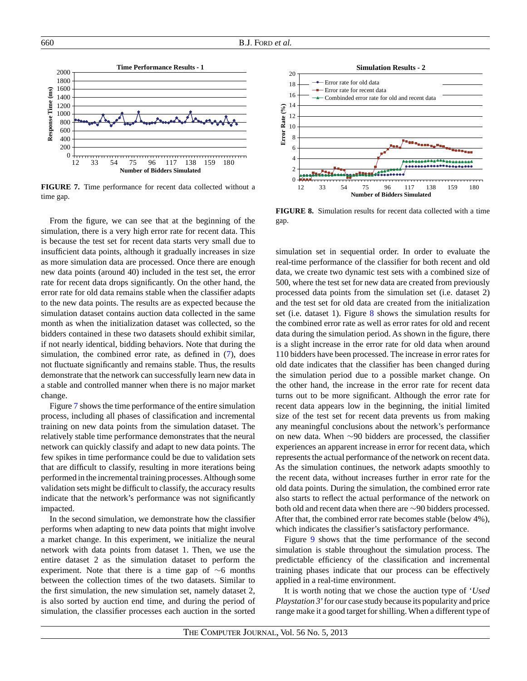

**FIGURE 7.** Time performance for recent data collected without a time gap.

From the figure, we can see that at the beginning of the simulation, there is a very high error rate for recent data. This is because the test set for recent data starts very small due to insufficient data points, although it gradually increases in size as more simulation data are processed. Once there are enough new data points (around 40) included in the test set, the error rate for recent data drops significantly. On the other hand, the error rate for old data remains stable when the classifier adapts to the new data points. The results are as expected because the simulation dataset contains auction data collected in the same month as when the initialization dataset was collected, so the bidders contained in these two datasets should exhibit similar, if not nearly identical, bidding behaviors. Note that during the simulation, the combined error rate, as defined in  $(7)$ , does not fluctuate significantly and remains stable. Thus, the results demonstrate that the network can successfully learn new data in a stable and controlled manner when there is no major market change.

Figure 7 shows the time performance of the entire simulation process, including all phases of classification and incremental training on new data points from the simulation dataset. The relatively stable time performance demonstrates that the neural network can quickly classify and adapt to new data points. The few spikes in time performance could be due to validation sets that are difficult to classify, resulting in more iterations being performed in the incremental training processes.Although some validation sets might be difficult to classify, the accuracy results indicate that the network's performance was not significantly impacted.

In the second simulation, we demonstrate how the classifier performs when adapting to new data points that might involve a market change. In this experiment, we initialize the neural network with data points from dataset 1. Then, we use the entire dataset 2 as the simulation dataset to perform the experiment. Note that there is a time gap of ∼6 months between the collection times of the two datasets. Similar to the first simulation, the new simulation set, namely dataset 2, is also sorted by auction end time, and during the period of simulation, the classifier processes each auction in the sorted



**FIGURE 8.** Simulation results for recent data collected with a time gap.

simulation set in sequential order. In order to evaluate the real-time performance of the classifier for both recent and old data, we create two dynamic test sets with a combined size of 500, where the test set for new data are created from previously processed data points from the simulation set (i.e. dataset 2) and the test set for old data are created from the initialization set (i.e. dataset 1). Figure 8 shows the simulation results for the combined error rate as well as error rates for old and recent data during the simulation period. As shown in the figure, there is a slight increase in the error rate for old data when around 110 bidders have been processed. The increase in error rates for old date indicates that the classifier has been changed during the simulation period due to a possible market change. On the other hand, the increase in the error rate for recent data turns out to be more significant. Although the error rate for recent data appears low in the beginning, the initial limited size of the test set for recent data prevents us from making any meaningful conclusions about the network's performance on new data. When ∼90 bidders are processed, the classifier experiences an apparent increase in error for recent data, which represents the actual performance of the network on recent data. As the simulation continues, the network adapts smoothly to the recent data, without increases further in error rate for the old data points. During the simulation, the combined error rate also starts to reflect the actual performance of the network on both old and recent data when there are ∼90 bidders processed. After that, the combined error rate becomes stable (below 4%), which indicates the classifier's satisfactory performance.

Figure [9](#page-15-0) shows that the time performance of the second simulation is stable throughout the simulation process. The predictable efficiency of the classification and incremental training phases indicate that our process can be effectively applied in a real-time environment.

It is worth noting that we chose the auction type of '*Used Playstation 3*' for our case study because its popularity and price range make it a good target for shilling.When a different type of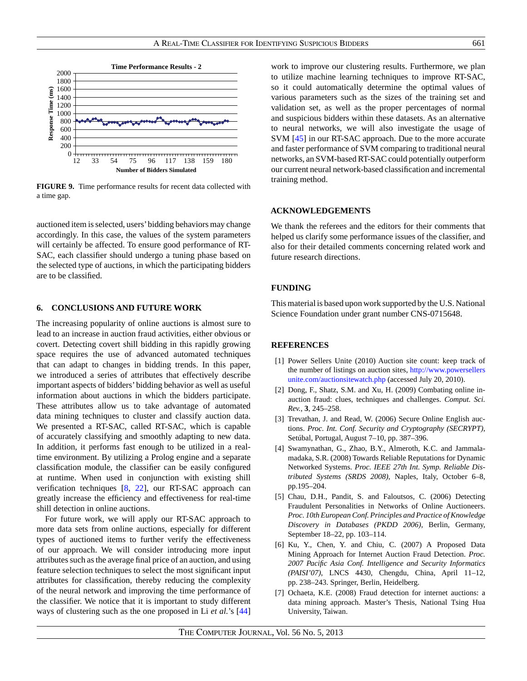<span id="page-15-0"></span>

**FIGURE 9.** Time performance results for recent data collected with a time gap.

auctioned item is selected, users' bidding behaviors may change accordingly. In this case, the values of the system parameters will certainly be affected. To ensure good performance of RT-SAC, each classifier should undergo a tuning phase based on the selected type of auctions, in which the participating bidders are to be classified.

## **6. CONCLUSIONS AND FUTURE WORK**

The increasing popularity of online auctions is almost sure to lead to an increase in auction fraud activities, either obvious or covert. Detecting covert shill bidding in this rapidly growing space requires the use of advanced automated techniques that can adapt to changes in bidding trends. In this paper, we introduced a series of attributes that effectively describe important aspects of bidders' bidding behavior as well as useful information about auctions in which the bidders participate. These attributes allow us to take advantage of automated data mining techniques to cluster and classify auction data. We presented a RT-SAC, called RT-SAC, which is capable of accurately classifying and smoothly adapting to new data. In addition, it performs fast enough to be utilized in a realtime environment. By utilizing a Prolog engine and a separate classification module, the classifier can be easily configured at runtime. When used in conjunction with existing shill verification techniques [\[8](#page-16-0), [22](#page-16-0)], our RT-SAC approach can greatly increase the efficiency and effectiveness for real-time shill detection in online auctions.

For future work, we will apply our RT-SAC approach to more data sets from online auctions, especially for different types of auctioned items to further verify the effectiveness of our approach. We will consider introducing more input attributes such as the average final price of an auction, and using feature selection techniques to select the most significant input attributes for classification, thereby reducing the complexity of the neural network and improving the time performance of the classifier. We notice that it is important to study different ways of clustering such as the one proposed in Li *et al.*'s [\[44](#page-17-0)]

work to improve our clustering results. Furthermore, we plan to utilize machine learning techniques to improve RT-SAC, so it could automatically determine the optimal values of various parameters such as the sizes of the training set and validation set, as well as the proper percentages of normal and suspicious bidders within these datasets. As an alternative to neural networks, we will also investigate the usage of SVM [\[45](#page-17-0)] in our RT-SAC approach. Due to the more accurate and faster performance of SVM comparing to traditional neural networks, an SVM-based RT-SAC could potentially outperform our current neural network-based classification and incremental training method.

### **ACKNOWLEDGEMENTS**

We thank the referees and the editors for their comments that helped us clarify some performance issues of the classifier, and also for their detailed comments concerning related work and future research directions.

# **FUNDING**

This material is based upon work supported by the U.S. National Science Foundation under grant number CNS-0715648.

#### **REFERENCES**

- [1] Power Sellers Unite (2010) Auction site count: keep track of the number of listings on auction sites, [http://www.powersellers](http://www.powersellersunite.com/auctionsitewatch.php) [unite.com/auctionsitewatch.php](http://www.powersellersunite.com/auctionsitewatch.php) (accessed July 20, 2010).
- [2] Dong, F., Shatz, S.M. and Xu, H. (2009) Combating online inauction fraud: clues, techniques and challenges. *Comput. Sci. Rev.*, **3**, 245–258.
- [3] Trevathan, J. and Read, W. (2006) Secure Online English auctions. *Proc. Int. Conf. Security and Cryptography (SECRYPT)*, Setúbal, Portugal, August 7–10, pp. 387–396.
- [4] Swamynathan, G., Zhao, B.Y., Almeroth, K.C. and Jammalamadaka, S.R. (2008) Towards Reliable Reputations for Dynamic Networked Systems. *Proc. IEEE 27th Int. Symp. Reliable Distributed Systems (SRDS 2008)*, Naples, Italy, October 6–8, pp.195–204.
- [5] Chau, D.H., Pandit, S. and Faloutsos, C. (2006) Detecting Fraudulent Personalities in Networks of Online Auctioneers. *Proc. 10th European Conf. Principles and Practice of Knowledge Discovery in Databases (PKDD 2006)*, Berlin, Germany, September 18–22, pp. 103–114.
- [6] Ku, Y., Chen, Y. and Chiu, C. (2007) A Proposed Data Mining Approach for Internet Auction Fraud Detection. *Proc. 2007 Pacific Asia Conf. Intelligence and Security Informatics (PAISI'07)*, LNCS 4430, Chengdu, China, April 11–12, pp. 238–243. Springer, Berlin, Heidelberg.
- [7] Ochaeta, K.E. (2008) Fraud detection for internet auctions: a data mining approach. Master's Thesis, National Tsing Hua University, Taiwan.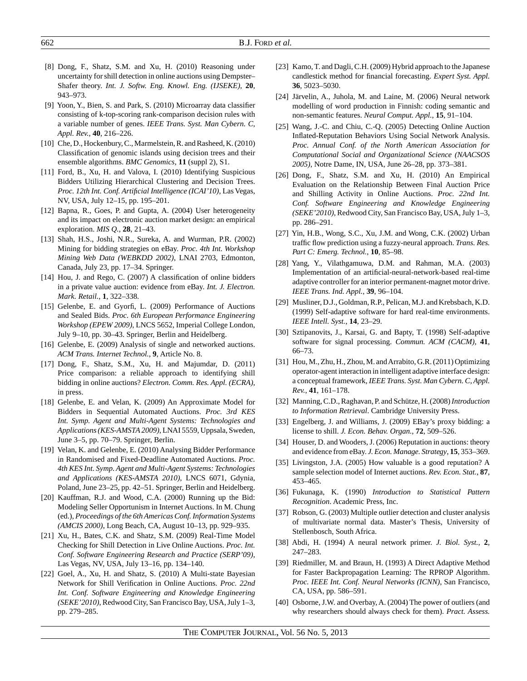- <span id="page-16-0"></span>[8] Dong, F., Shatz, S.M. and Xu, H. (2010) Reasoning under uncertainty for shill detection in online auctions using Dempster– Shafer theory. *Int. J. Softw. Eng. Knowl. Eng. (IJSEKE)*, **20**, 943–973.
- [9] Yoon, Y., Bien, S. and Park, S. (2010) Microarray data classifier consisting of k-top-scoring rank-comparison decision rules with a variable number of genes. *IEEE Trans. Syst. Man Cybern. C, Appl. Rev.*, **40**, 216–226.
- [10] Che, D., Hockenbury, C., Marmelstein, R. and Rasheed, K. (2010) Classification of genomic islands using decision trees and their ensemble algorithms. *BMC Genomics*, **11** (suppl 2), S1.
- [11] Ford, B., Xu, H. and Valova, I. (2010) Identifying Suspicious Bidders Utilizing Hierarchical Clustering and Decision Trees. *Proc. 12th Int. Conf. Artificial Intelligence (ICAI'10)*, Las Vegas, NV, USA, July 12–15, pp. 195–201.
- [12] Bapna, R., Goes, P. and Gupta, A. (2004) User heterogeneity and its impact on electronic auction market design: an empirical exploration. *MIS Q.*, **28**, 21–43.
- [13] Shah, H.S., Joshi, N.R., Sureka, A. and Wurman, P.R. (2002) Mining for bidding strategies on eBay. *Proc. 4th Int. Workshop Mining Web Data (WEBKDD 2002)*, LNAI 2703, Edmonton, Canada, July 23, pp. 17–34. Springer.
- [14] Hou, J. and Rego, C. (2007) A classification of online bidders in a private value auction: evidence from eBay. *Int. J. Electron. Mark. Retail.*, **1**, 322–338.
- [15] Gelenbe, E. and Gyorfi, L. (2009) Performance of Auctions and Sealed Bids. *Proc. 6th European Performance Engineering Workshop (EPEW 2009)*, LNCS 5652, Imperial College London, July 9–10, pp. 30–43. Springer, Berlin and Heidelberg.
- [16] Gelenbe, E. (2009) Analysis of single and networked auctions. *ACM Trans. Internet Technol.*, **9**, Article No. 8.
- [17] Dong, F., Shatz, S.M., Xu, H. and Majumdar, D. (2011) Price comparison: a reliable approach to identifying shill bidding in online auctions? *Electron. Comm. Res. Appl. (ECRA)*, in press.
- [18] Gelenbe, E. and Velan, K. (2009) An Approximate Model for Bidders in Sequential Automated Auctions. *Proc. 3rd KES Int. Symp. Agent and Multi-Agent Systems: Technologies and Applications (KES-AMSTA 2009)*, LNAI 5559, Uppsala, Sweden, June 3–5, pp. 70–79. Springer, Berlin.
- [19] Velan, K. and Gelenbe, E. (2010) Analysing Bidder Performance in Randomised and Fixed-Deadline Automated Auctions. *Proc. 4th KES Int. Symp. Agent and Multi-Agent Systems: Technologies and Applications (KES-AMSTA 2010)*, LNCS 6071, Gdynia, Poland, June 23–25, pp. 42–51. Springer, Berlin and Heidelberg.
- [20] Kauffman, R.J. and Wood, C.A. (2000) Running up the Bid: Modeling Seller Opportunism in Internet Auctions. In M. Chung (ed.), *Proceedings of the 6th Americas Conf. Information Systems (AMCIS 2000)*, Long Beach, CA, August 10–13, pp. 929–935.
- [21] Xu, H., Bates, C.K. and Shatz, S.M. (2009) Real-Time Model Checking for Shill Detection in Live Online Auctions. *Proc. Int. Conf. Software Engineering Research and Practice (SERP'09)*, Las Vegas, NV, USA, July 13–16, pp. 134–140.
- [22] Goel, A., Xu, H. and Shatz, S. (2010) A Multi-state Bayesian Network for Shill Verification in Online Auctions. *Proc. 22nd Int. Conf. Software Engineering and Knowledge Engineering (SEKE'2010)*, Redwood City, San Francisco Bay, USA, July 1–3, pp. 279–285.
- [23] Kamo, T. and Dagli, C.H. (2009) Hybrid approach to the Japanese candlestick method for financial forecasting. *Expert Syst. Appl.* **36**, 5023–5030.
- [24] Järvelin, A., Juhola, M. and Laine, M. (2006) Neural network modelling of word production in Finnish: coding semantic and non-semantic features. *Neural Comput. Appl.*, **15**, 91–104.
- [25] Wang, J.-C. and Chiu, C.-Q. (2005) Detecting Online Auction Inflated-Reputation Behaviors Using Social Network Analysis. *Proc. Annual Conf. of the North American Association for Computational Social and Organizational Science (NAACSOS 2005)*, Notre Dame, IN, USA, June 26–28, pp. 373–381.
- [26] Dong, F., Shatz, S.M. and Xu, H. (2010) An Empirical Evaluation on the Relationship Between Final Auction Price and Shilling Activity in Online Auctions. *Proc. 22nd Int. Conf. Software Engineering and Knowledge Engineering (SEKE'2010)*, Redwood City, San Francisco Bay, USA, July 1–3, pp. 286–291.
- [27] Yin, H.B., Wong, S.C., Xu, J.M. and Wong, C.K. (2002) Urban traffic flow prediction using a fuzzy-neural approach. *Trans. Res. Part C: Emerg. Technol.*, **10**, 85–98.
- [28] Yang, Y., Vilathgamuwa, D.M. and Rahman, M.A. (2003) Implementation of an artificial-neural-network-based real-time adaptive controller for an interior permanent-magnet motor drive. *IEEE Trans. Ind. Appl.*, **39**, 96–104.
- [29] Musliner, D.J., Goldman, R.P., Pelican, M.J. and Krebsbach, K.D. (1999) Self-adaptive software for hard real-time environments. *IEEE Intell. Syst.*, **14**, 23–29.
- [30] Sztipanovits, J., Karsai, G. and Bapty, T. (1998) Self-adaptive software for signal processing. *Commun. ACM (CACM)*, **41**, 66–73.
- [31] Hou, M., Zhu, H., Zhou, M. andArrabito, G.R. (2011) Optimizing operator-agent interaction in intelligent adaptive interface design: a conceptual framework, *IEEE Trans. Syst. Man Cybern. C, Appl. Rev.*, **41**, 161–178.
- [32] Manning, C.D., Raghavan, P. and Schütze, H. (2008)*Introduction to Information Retrieval*. Cambridge University Press.
- [33] Engelberg, J. and Williams, J. (2009) EBay's proxy bidding: a license to shill. *J. Econ. Behav. Organ.*, **72**, 509–526.
- [34] Houser, D. and Wooders, J. (2006) Reputation in auctions: theory and evidence from eBay. *J. Econ. Manage. Strategy*, **15**, 353–369.
- [35] Livingston, J.A. (2005) How valuable is a good reputation? A sample selection model of Internet auctions. *Rev. Econ. Stat.*, **87**, 453–465.
- [36] Fukunaga, K. (1990) *Introduction to Statistical Pattern Recognition*. Academic Press, Inc.
- [37] Robson, G. (2003) Multiple outlier detection and cluster analysis of multivariate normal data. Master's Thesis, University of Stellenbosch, South Africa.
- [38] Abdi, H. (1994) A neural network primer. *J. Biol. Syst.*, **2**, 247–283.
- [39] Riedmiller, M. and Braun, H. (1993) A Direct Adaptive Method for Faster Backpropagation Learning: The RPROP Algorithm. *Proc. IEEE Int. Conf. Neural Networks (ICNN)*, San Francisco, CA, USA, pp. 586–591.
- [40] Osborne, J.W. and Overbay, A. (2004) The power of outliers (and why researchers should always check for them). *Pract. Assess.*